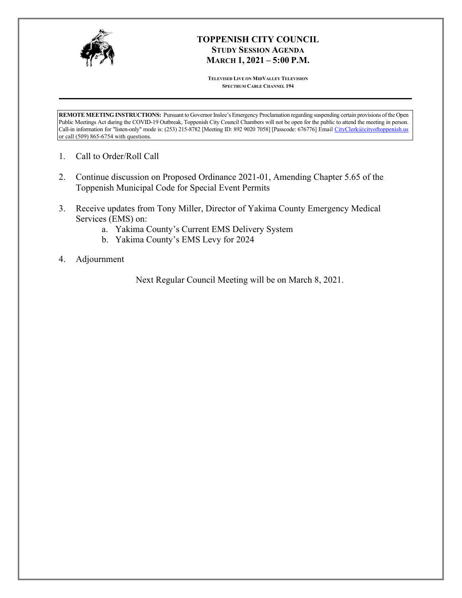

# **TOPPENISH CITY COUNCIL STUDY SESSION AGENDA MARCH 1, 2021 – 5:00 P.M.**

**TELEVISED LIVE ON MIDVALLEY TELEVISION SPECTRUM CABLE CHANNEL 194**

**REMOTE MEETING INSTRUCTIONS:** Pursuant to Governor Inslee's Emergency Proclamation regarding suspending certain provisions of the Open Public Meetings Act during the COVID-19 Outbreak, Toppenish City Council Chambers will not be open for the public to attend the meeting in person. Call-in information for "listen-only" mode is: (253) 215-8782 [Meeting ID: 892 9020 7058] [Passcode: 676776] Email CityClerk@cityoftoppenish.us or call (509) 865-6754 with questions.

- 1. Call to Order/Roll Call
- 2. Continue discussion on Proposed Ordinance 2021-01, Amending Chapter 5.65 of the Toppenish Municipal Code for Special Event Permits
- 3. Receive updates from Tony Miller, Director of Yakima County Emergency Medical Services (EMS) on:
	- a. Yakima County's Current EMS Delivery System
	- b. Yakima County's EMS Levy for 2024
- 4. Adjournment

Next Regular Council Meeting will be on March 8, 2021.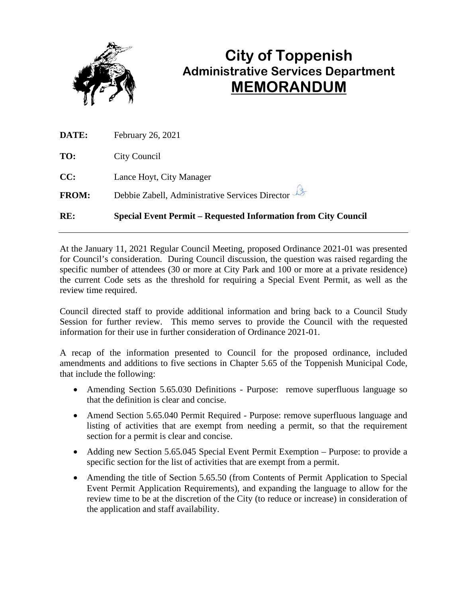

# **City of Toppenish Administrative Services Department MEMORANDUM**

| RE:          | <b>Special Event Permit – Requested Information from City Council</b> |
|--------------|-----------------------------------------------------------------------|
| <b>FROM:</b> | Debbie Zabell, Administrative Services Director                       |
| CC:          | Lance Hoyt, City Manager                                              |
| TO:          | City Council                                                          |
| <b>DATE:</b> | February 26, 2021                                                     |

At the January 11, 2021 Regular Council Meeting, proposed Ordinance 2021-01 was presented for Council's consideration. During Council discussion, the question was raised regarding the specific number of attendees (30 or more at City Park and 100 or more at a private residence) the current Code sets as the threshold for requiring a Special Event Permit, as well as the review time required.

Council directed staff to provide additional information and bring back to a Council Study Session for further review. This memo serves to provide the Council with the requested information for their use in further consideration of Ordinance 2021-01.

A recap of the information presented to Council for the proposed ordinance, included amendments and additions to five sections in Chapter 5.65 of the Toppenish Municipal Code, that include the following:

- Amending Section 5.65.030 Definitions Purpose: remove superfluous language so that the definition is clear and concise.
- Amend Section 5.65.040 Permit Required Purpose: remove superfluous language and listing of activities that are exempt from needing a permit, so that the requirement section for a permit is clear and concise.
- Adding new Section 5.65.045 Special Event Permit Exemption Purpose: to provide a specific section for the list of activities that are exempt from a permit.
- Amending the title of Section 5.65.50 (from Contents of Permit Application to Special Event Permit Application Requirements), and expanding the language to allow for the review time to be at the discretion of the City (to reduce or increase) in consideration of the application and staff availability.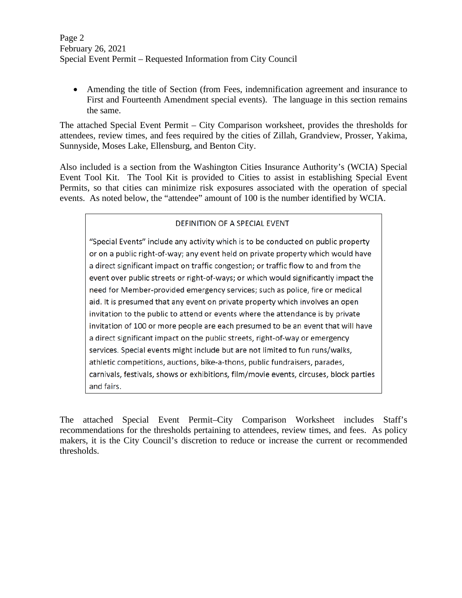• Amending the title of Section (from Fees, indemnification agreement and insurance to First and Fourteenth Amendment special events). The language in this section remains the same.

The attached Special Event Permit – City Comparison worksheet, provides the thresholds for attendees, review times, and fees required by the cities of Zillah, Grandview, Prosser, Yakima, Sunnyside, Moses Lake, Ellensburg, and Benton City.

Also included is a section from the Washington Cities Insurance Authority's (WCIA) Special Event Tool Kit. The Tool Kit is provided to Cities to assist in establishing Special Event Permits, so that cities can minimize risk exposures associated with the operation of special events. As noted below, the "attendee" amount of 100 is the number identified by WCIA.

## DEFINITION OF A SPECIAL EVENT

"Special Events" include any activity which is to be conducted on public property or on a public right-of-way; any event held on private property which would have a direct significant impact on traffic congestion; or traffic flow to and from the event over public streets or right-of-ways; or which would significantly impact the need for Member-provided emergency services; such as police, fire or medical aid. It is presumed that any event on private property which involves an open invitation to the public to attend or events where the attendance is by private invitation of 100 or more people are each presumed to be an event that will have a direct significant impact on the public streets, right-of-way or emergency services. Special events might include but are not limited to fun runs/walks, athletic competitions, auctions, bike-a-thons, public fundraisers, parades, carnivals, festivals, shows or exhibitions, film/movie events, circuses, block parties and fairs.

The attached Special Event Permit–City Comparison Worksheet includes Staff's recommendations for the thresholds pertaining to attendees, review times, and fees. As policy makers, it is the City Council's discretion to reduce or increase the current or recommended thresholds.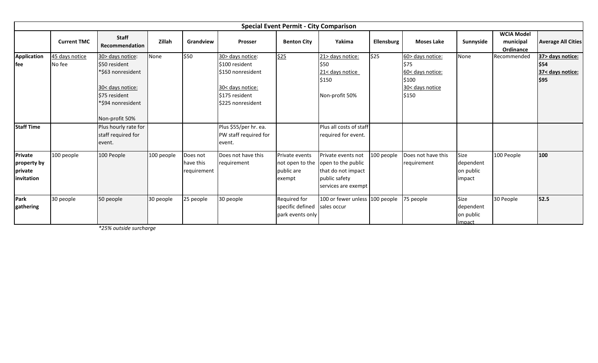|                                                 | <b>Special Event Permit - City Comparison</b> |                                                                                                                                    |            |                                      |                                                                                                                   |                                                                  |                                                                                                        |            |                                                                                  |                                          |                                             |                                                      |  |  |
|-------------------------------------------------|-----------------------------------------------|------------------------------------------------------------------------------------------------------------------------------------|------------|--------------------------------------|-------------------------------------------------------------------------------------------------------------------|------------------------------------------------------------------|--------------------------------------------------------------------------------------------------------|------------|----------------------------------------------------------------------------------|------------------------------------------|---------------------------------------------|------------------------------------------------------|--|--|
|                                                 | <b>Current TMC</b>                            | <b>Staff</b><br>Recommendation                                                                                                     | Zillah     | Grandview                            | <b>Prosser</b>                                                                                                    | <b>Benton City</b>                                               | Yakima                                                                                                 | Ellensburg | <b>Moses Lake</b>                                                                | Sunnyside                                | <b>WCIA Model</b><br>municipal<br>Ordinance | <b>Average All Cities</b>                            |  |  |
| Application<br>fee                              | 45 days notice<br>No fee                      | 30> days notice:<br>\$50 resident<br>*\$63 nonresident<br>30< days notice:<br>\$75 resident<br>*\$94 nonresident<br>Non-profit 50% | None       | \$50                                 | 30> days notice:<br>\$100 resident<br>S150 nonresident<br>30< days notice:<br>\$175 resident<br>\$225 nonresident | \$25                                                             | 21> days notice:<br>\$50<br>21< days notice<br>\$150<br>Non-profit 50%                                 | \$25       | 60> days notice:<br>S75<br>60< days notice:<br>\$100<br>30< days notice<br>\$150 | None                                     | Recommended                                 | 37> days notice:<br>\$54<br>37< days notice:<br>\$95 |  |  |
| <b>Staff Time</b>                               |                                               | Plus hourly rate for<br>staff required for<br>event.                                                                               |            |                                      | Plus \$55/per hr. ea.<br>PW staff required for<br>event.                                                          |                                                                  | Plus all costs of staff<br>required for event.                                                         |            |                                                                                  |                                          |                                             |                                                      |  |  |
| Private<br>property by<br>private<br>invitation | 100 people                                    | 100 People                                                                                                                         | 100 people | Does not<br>have this<br>requirement | Does not have this<br>requirement                                                                                 | Private events<br>not open to the<br>public are<br>exempt        | Private events not<br>open to the public<br>that do not impact<br>public safety<br>services are exempt | 100 people | Does not have this<br>requirement                                                | Size<br>dependent<br>on public<br>impact | 100 People                                  | 100                                                  |  |  |
| Park<br>gathering                               | 30 people                                     | 50 people                                                                                                                          | 30 people  | 25 people                            | 30 people                                                                                                         | Required for<br>specific defined sales occur<br>park events only | 100 or fewer unless 100 people                                                                         |            | 75 people                                                                        | Size<br>dependent<br>on public<br>impact | 30 People                                   | 52.5                                                 |  |  |

*\*25% outside surcharge*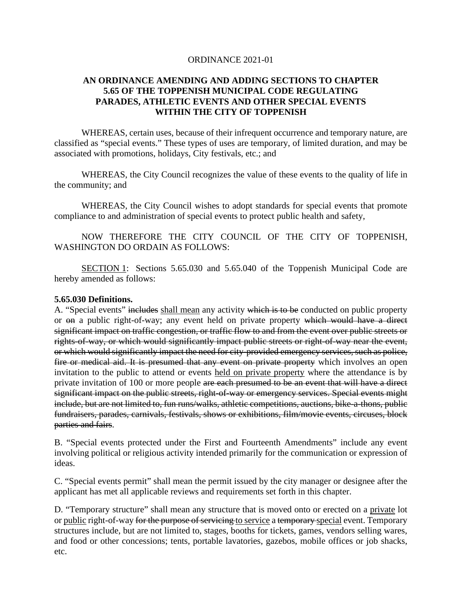### ORDINANCE 2021-01

## **AN ORDINANCE AMENDING AND ADDING SECTIONS TO CHAPTER 5.65 OF THE TOPPENISH MUNICIPAL CODE REGULATING PARADES, ATHLETIC EVENTS AND OTHER SPECIAL EVENTS WITHIN THE CITY OF TOPPENISH**

WHEREAS, certain uses, because of their infrequent occurrence and temporary nature, are classified as "special events." These types of uses are temporary, of limited duration, and may be associated with promotions, holidays, City festivals, etc.; and

WHEREAS, the City Council recognizes the value of these events to the quality of life in the community; and

WHEREAS, the City Council wishes to adopt standards for special events that promote compliance to and administration of special events to protect public health and safety,

NOW THEREFORE THE CITY COUNCIL OF THE CITY OF TOPPENISH, WASHINGTON DO ORDAIN AS FOLLOWS:

SECTION 1: Sections 5.65.030 and 5.65.040 of the Toppenish Municipal Code are hereby amended as follows:

#### **5.65.030 Definitions.**

A. "Special events" includes shall mean any activity which is to be conducted on public property or on a public right-of-way; any event held on private property which would have a direct significant impact on traffic congestion, or traffic flow to and from the event over public streets or rights-of-way, or which would significantly impact public streets or right-of-way near the event, or which would significantly impact the need for city-provided emergency services, such as police, fire or medical aid. It is presumed that any event on private property which involves an open invitation to the public to attend or events held on private property where the attendance is by private invitation of 100 or more people are each presumed to be an event that will have a direct significant impact on the public streets, right-of-way or emergency services. Special events might include, but are not limited to, fun runs/walks, athletic competitions, auctions, bike-a-thons, public fundraisers, parades, carnivals, festivals, shows or exhibitions, film/movie events, circuses, block parties and fairs.

B. "Special events protected under the First and Fourteenth Amendments" include any event involving political or religious activity intended primarily for the communication or expression of ideas.

C. "Special events permit" shall mean the permit issued by the city manager or designee after the applicant has met all applicable reviews and requirements set forth in this chapter.

D. "Temporary structure" shall mean any structure that is moved onto or erected on a private lot or public right-of-way for the purpose of servicing to service a temporary-special event. Temporary structures include, but are not limited to, stages, booths for tickets, games, vendors selling wares, and food or other concessions; tents, portable lavatories, gazebos, mobile offices or job shacks, etc.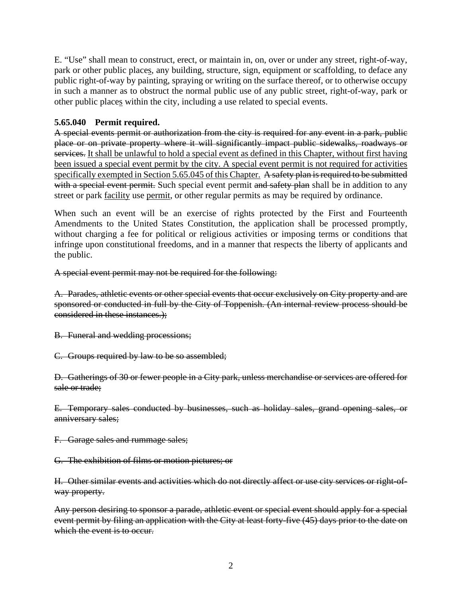E. "Use" shall mean to construct, erect, or maintain in, on, over or under any street, right-of-way, park or other public places, any building, structure, sign, equipment or scaffolding, to deface any public right-of-way by painting, spraying or writing on the surface thereof, or to otherwise occupy in such a manner as to obstruct the normal public use of any public street, right-of-way, park or other public places within the city, including a use related to special events.

# **5.65.040 Permit required.**

A special events permit or authorization from the city is required for any event in a park, public place or on private property where it will significantly impact public sidewalks, roadways or services. It shall be unlawful to hold a special event as defined in this Chapter, without first having been issued a special event permit by the city. A special event permit is not required for activities specifically exempted in Section 5.65.045 of this Chapter. A safety plan is required to be submitted with a special event permit. Such special event permit and safety plan shall be in addition to any street or park facility use permit, or other regular permits as may be required by ordinance.

When such an event will be an exercise of rights protected by the First and Fourteenth Amendments to the United States Constitution, the application shall be processed promptly, without charging a fee for political or religious activities or imposing terms or conditions that infringe upon constitutional freedoms, and in a manner that respects the liberty of applicants and the public.

A special event permit may not be required for the following:

A. Parades, athletic events or other special events that occur exclusively on City property and are sponsored or conducted in full by the City of Toppenish. (An internal review process should be considered in these instances.);

B. Funeral and wedding processions;

C. Groups required by law to be so assembled;

D. Gatherings of 30 or fewer people in a City park, unless merchandise or services are offered for sale or trade;

E. Temporary sales conducted by businesses, such as holiday sales, grand opening sales, or anniversary sales;

F. Garage sales and rummage sales;

G. The exhibition of films or motion pictures; or

H. Other similar events and activities which do not directly affect or use city services or right-ofway property.

Any person desiring to sponsor a parade, athletic event or special event should apply for a special event permit by filing an application with the City at least forty-five (45) days prior to the date on which the event is to occur.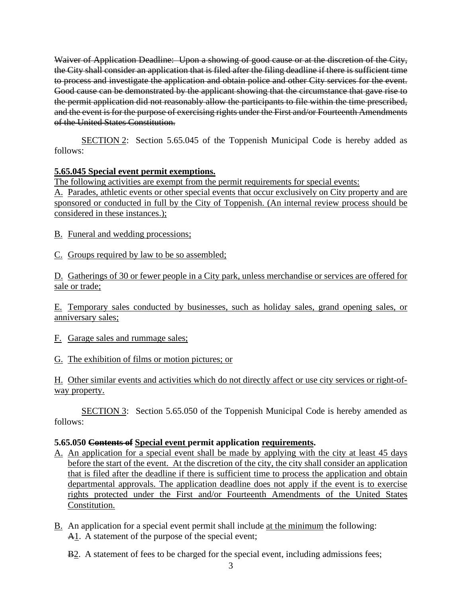Waiver of Application Deadline: Upon a showing of good cause or at the discretion of the City, the City shall consider an application that is filed after the filing deadline if there is sufficient time to process and investigate the application and obtain police and other City services for the event. Good cause can be demonstrated by the applicant showing that the circumstance that gave rise to the permit application did not reasonably allow the participants to file within the time prescribed, and the event is for the purpose of exercising rights under the First and/or Fourteenth Amendments of the United States Constitution.

SECTION 2: Section 5.65.045 of the Toppenish Municipal Code is hereby added as follows:

# **5.65.045 Special event permit exemptions.**

The following activities are exempt from the permit requirements for special events: A. Parades, athletic events or other special events that occur exclusively on City property and are sponsored or conducted in full by the City of Toppenish. (An internal review process should be considered in these instances.);

B. Funeral and wedding processions;

C. Groups required by law to be so assembled;

D. Gatherings of 30 or fewer people in a City park, unless merchandise or services are offered for sale or trade;

E. Temporary sales conducted by businesses, such as holiday sales, grand opening sales, or anniversary sales;

- F. Garage sales and rummage sales;
- G. The exhibition of films or motion pictures; or

H. Other similar events and activities which do not directly affect or use city services or right-ofway property.

SECTION 3: Section 5.65.050 of the Toppenish Municipal Code is hereby amended as follows:

## **5.65.050 Contents of Special event permit application requirements.**

- A. An application for a special event shall be made by applying with the city at least 45 days before the start of the event. At the discretion of the city, the city shall consider an application that is filed after the deadline if there is sufficient time to process the application and obtain departmental approvals. The application deadline does not apply if the event is to exercise rights protected under the First and/or Fourteenth Amendments of the United States Constitution.
- B. An application for a special event permit shall include at the minimum the following: A1. A statement of the purpose of the special event;
	- B<sub>2</sub>. A statement of fees to be charged for the special event, including admissions fees;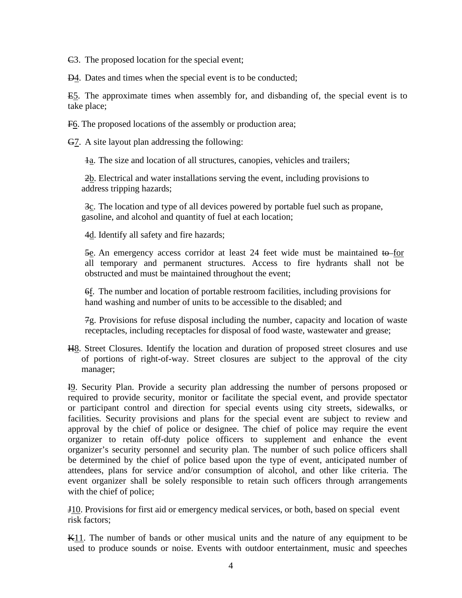$\epsilon$ 3. The proposed location for the special event;

**D4**. Dates and times when the special event is to be conducted;

E5. The approximate times when assembly for, and disbanding of, the special event is to take place;

F6. The proposed locations of the assembly or production area;

G7. A site layout plan addressing the following:

 $\frac{1}{a}$ . The size and location of all structures, canopies, vehicles and trailers;

2b. Electrical and water installations serving the event, including provisions to address tripping hazards;

3c. The location and type of all devices powered by portable fuel such as propane, gasoline, and alcohol and quantity of fuel at each location;

4d. Identify all safety and fire hazards;

5e. An emergency access corridor at least 24 feet wide must be maintained to for all temporary and permanent structures. Access to fire hydrants shall not be obstructed and must be maintained throughout the event;

6f. The number and location of portable restroom facilities, including provisions for hand washing and number of units to be accessible to the disabled; and

7g. Provisions for refuse disposal including the number, capacity and location of waste receptacles, including receptacles for disposal of food waste, wastewater and grease;

H8. Street Closures. Identify the location and duration of proposed street closures and use of portions of right-of-way. Street closures are subject to the approval of the city manager;

I9. Security Plan. Provide a security plan addressing the number of persons proposed or required to provide security, monitor or facilitate the special event, and provide spectator or participant control and direction for special events using city streets, sidewalks, or facilities. Security provisions and plans for the special event are subject to review and approval by the chief of police or designee. The chief of police may require the event organizer to retain off-duty police officers to supplement and enhance the event organizer's security personnel and security plan. The number of such police officers shall be determined by the chief of police based upon the type of event, anticipated number of attendees, plans for service and/or consumption of alcohol, and other like criteria. The event organizer shall be solely responsible to retain such officers through arrangements with the chief of police;

J10. Provisions for first aid or emergency medical services, or both, based on special event risk factors;

K11. The number of bands or other musical units and the nature of any equipment to be used to produce sounds or noise. Events with outdoor entertainment, music and speeches